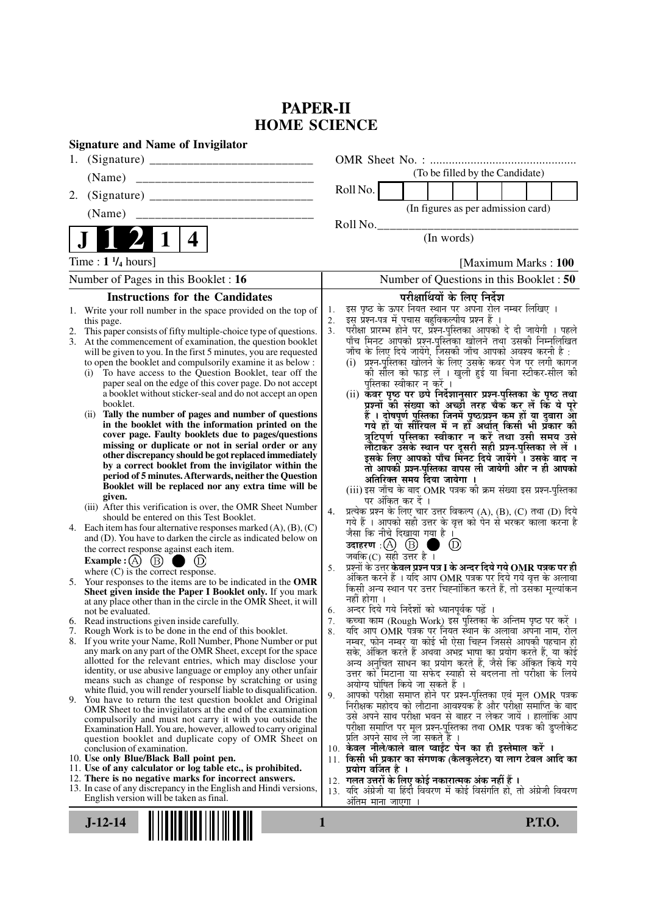# **PAPER-II HOME SCIENCE**

| <b>Signature and Name of Invigilator</b>                                                                                                 |                                                                                                                                           |  |  |
|------------------------------------------------------------------------------------------------------------------------------------------|-------------------------------------------------------------------------------------------------------------------------------------------|--|--|
| 1.                                                                                                                                       |                                                                                                                                           |  |  |
|                                                                                                                                          | (To be filled by the Candidate)                                                                                                           |  |  |
| 2.                                                                                                                                       | Roll No.                                                                                                                                  |  |  |
| (Name)                                                                                                                                   | (In figures as per admission card)                                                                                                        |  |  |
|                                                                                                                                          | Roll No.                                                                                                                                  |  |  |
| $\overline{\mathbf{4}}$                                                                                                                  | (In words)                                                                                                                                |  |  |
| Time: $1\frac{1}{4}$ hours]                                                                                                              | [Maximum Marks: 100]                                                                                                                      |  |  |
| Number of Pages in this Booklet: 16                                                                                                      | Number of Questions in this Booklet: 50                                                                                                   |  |  |
| <b>Instructions for the Candidates</b>                                                                                                   | परीक्षार्थियों के लिए निर्देश                                                                                                             |  |  |
| Write your roll number in the space provided on the top of<br>1.                                                                         | इस पृष्ठ के ऊपर नियत स्थान पर अपना रोल नम्बर लिखिए ।<br>1.<br>इस प्रश्न-पत्र में पचास बहुविकल्पीय प्रश्न हैं ।                            |  |  |
| this page.<br>This paper consists of fifty multiple-choice type of questions.<br>2.                                                      | 2.<br>परीक्षा प्रारम्भ होने पर, प्रश्न-पुस्तिका आपको दे दी जायेगी । पहले<br>3.                                                            |  |  |
| 3. At the commencement of examination, the question booklet                                                                              | पाँच मिनट आपको प्रश्न-पुस्तिका खोलने तथा उसकी निम्नलिखित                                                                                  |  |  |
| will be given to you. In the first 5 minutes, you are requested<br>to open the booklet and compulsorily examine it as below :            | जाँच के लिए दिये जायेंगे, जिसकी जाँच आपको अवश्य करनी है :<br>(i)  प्रश्न-पुस्तिका खोलने के लिए उसके कवर पेज पर लगी कागज                   |  |  |
| To have access to the Question Booklet, tear off the<br>(i)                                                                              | को सील को फाड़ लें । खुली हुई या बिना स्टीकर-सील की                                                                                       |  |  |
| paper seal on the edge of this cover page. Do not accept                                                                                 | पुस्तिका स्वीकार न करें ।                                                                                                                 |  |  |
| a booklet without sticker-seal and do not accept an open<br>booklet.                                                                     | (ii) कॅवर पृष्ठ पर छपे निर्देशानुसार प्रश्न-पुस्तिका के पृष्ठ तथा<br>प्रश्नों की संख्या को अच्छों तरह चैक कर लें कि ये पूरे               |  |  |
| Tally the number of pages and number of questions<br>(i)                                                                                 | हैं । दोषपूर्ण पुस्तिका जिनमें पृष्ठ/प्रश्न कम हों या दुबारा आ                                                                            |  |  |
| in the booklet with the information printed on the<br>cover page. Faulty booklets due to pages/questions                                 | गये हों या सीरियल में न हो अर्थात् किसी भी प्रकार की<br>त्रुटिपूर्ण पुस्तिका स्वीकार न करें तथा उसी समय उसे                               |  |  |
| missing or duplicate or not in serial order or any                                                                                       |                                                                                                                                           |  |  |
| other discrepancy should be got replaced immediately                                                                                     | लौटाकर उसके स्थान पर दूसरी सही प्रश्न-पुस्तिका ले लें ।<br>इसके लिए आपको पाँच मिनट दिये जायेंगे । उसके बाद न                              |  |  |
| by a correct booklet from the invigilator within the<br>period of 5 minutes. Afterwards, neither the Question                            | तो आपकी प्रश्न-पुस्तिका वापस ली जायेगी और न ही आपको<br>अतिरिक्त समय दिया जायेगा ।                                                         |  |  |
| Booklet will be replaced nor any extra time will be                                                                                      | (iii) इस जाँच के बाद OMR पत्रक की क्रम संख्या इस प्रश्न-पुस्तिका                                                                          |  |  |
| given.<br>(iii) After this verification is over, the OMR Sheet Number                                                                    | पर अंकित कर दें ।                                                                                                                         |  |  |
| should be entered on this Test Booklet.                                                                                                  | प्रत्येक प्रश्न के लिए चार उत्तर विकल्प (A), (B), (C) तथा (D) दिये<br>4.<br>गये हैं । आपको सही उत्तर के वृत्त को पेन से भरकर काला करना है |  |  |
| 4. Each item has four alternative responses marked $(A)$ , $(B)$ , $(C)$<br>and (D). You have to darken the circle as indicated below on | जैसा कि नीचे दिखाया गया है।                                                                                                               |  |  |
| the correct response against each item.                                                                                                  | उदाहरण $\cdot$ ( $\Delta$ ) ( $\overline{B}$ )<br>$\circled{D}$                                                                           |  |  |
| <b>Example:</b> (A) $(B)$<br>(D)                                                                                                         | जबकि (C) सही उत्तर है ।<br>प्रश्नों के उत्तर <b>केवल प्रश्न पत्र I के अन्दर दिये गये OMR पत्रक पर ही</b><br>5.                            |  |  |
| where $(C)$ is the correct response.                                                                                                     | अंकित करने हैं । यदि आप OMR पत्रक पर दिये गये वृत्त के अलावा                                                                              |  |  |
| 5. Your responses to the items are to be indicated in the OMR<br>Sheet given inside the Paper I Booklet only. If you mark                | किसी अन्य स्थान पर उत्तर चिह्नांकित करते हैं, तो उसका मूल्यांकन                                                                           |  |  |
| at any place other than in the circle in the OMR Sheet, it will                                                                          | नहीं होगा ।<br>अन्दर दिये गये निर्देशों को ध्यानपूर्वक पढ़ें ।<br>6.                                                                      |  |  |
| not be evaluated.<br>6. Read instructions given inside carefully.                                                                        | कच्चा काम (Rough Work) इस पुस्तिका के अन्तिम पृष्ठ पर करें ।<br>7.                                                                        |  |  |
| 7. Rough Work is to be done in the end of this booklet.                                                                                  | र्याद आप OMR पत्रक पर नियत स्थान के अलावा अपना नाम, रोल<br>8.                                                                             |  |  |
| 8. If you write your Name, Roll Number, Phone Number or put<br>any mark on any part of the OMR Sheet, except for the space               | नम्बर, फोन नम्बर या कोई भी ऐसा चिह्न जिससे आपकी पहचान हो<br>सके, अंकित करते हैं अथवा अभद्र भाषा का प्रयोग करते हैं, या कोई                |  |  |
| allotted for the relevant entries, which may disclose your                                                                               | अन्य अनुचित साधन का प्रयोग करते हैं, जैसे कि अंकित किये गये                                                                               |  |  |
| identity, or use abusive language or employ any other unfair<br>means such as change of response by scratching or using                  | उत्तर को मिटाना या सफेद स्याही से बदलना तो परीक्षा के लिये                                                                                |  |  |
| white fluid, you will render yourself liable to disqualification.                                                                        | अयोग्य घोषित किये जा सकते हैं ।<br>आपको परीक्षा समाप्त होने पर प्रश्न-पुस्तिका एवं मूल OMR पत्रक<br>9.                                    |  |  |
| 9. You have to return the test question booklet and Original<br>OMR Sheet to the invigilators at the end of the examination              | निरीक्षक महोदय को लौटाना आवश्यक है और परीक्षा समाप्ति के बाद                                                                              |  |  |
| compulsorily and must not carry it with you outside the                                                                                  | उसे अपने साथ परीक्षा भवन से बाहर न लेकर जायें । हालांकि आप                                                                                |  |  |
| Examination Hall. You are, however, allowed to carry original<br>question booklet and duplicate copy of OMR Sheet on                     | परीक्षा समाप्ति पर मूल प्रश्न-पुस्तिका तथा OMR पत्रक की डुप्लीकेट<br>प्रति अपने साथ ले जा सकते हैं ।                                      |  |  |
| conclusion of examination.                                                                                                               | 10. केवल नीले/काले बाल प्वाईंट पेन का ही इस्तेमाल करें ।                                                                                  |  |  |
| 10. Use only Blue/Black Ball point pen.<br>11. Use of any calculator or log table etc., is prohibited.                                   | 11. किसी भी प्रकार का संगणक (कैलकुलेटर) या लाग टेबल आदि का<br>प्रयोग वर्जित है ।                                                          |  |  |
| 12. There is no negative marks for incorrect answers.                                                                                    | 12. गलत उत्तरों के लिए कोई नकारात्मक अंक नहीं हैं ।                                                                                       |  |  |
| 13. In case of any discrepancy in the English and Hindi versions,<br>English version will be taken as final.                             | 13. यदि अंग्रेजी या हिंदी विवरण में कोई विसंगति हो, तो अंग्रेजी विवरण                                                                     |  |  |
|                                                                                                                                          | ओतम माना जाएगा                                                                                                                            |  |  |
| <b>P.T.O.</b><br>$J-12-14$<br>1                                                                                                          |                                                                                                                                           |  |  |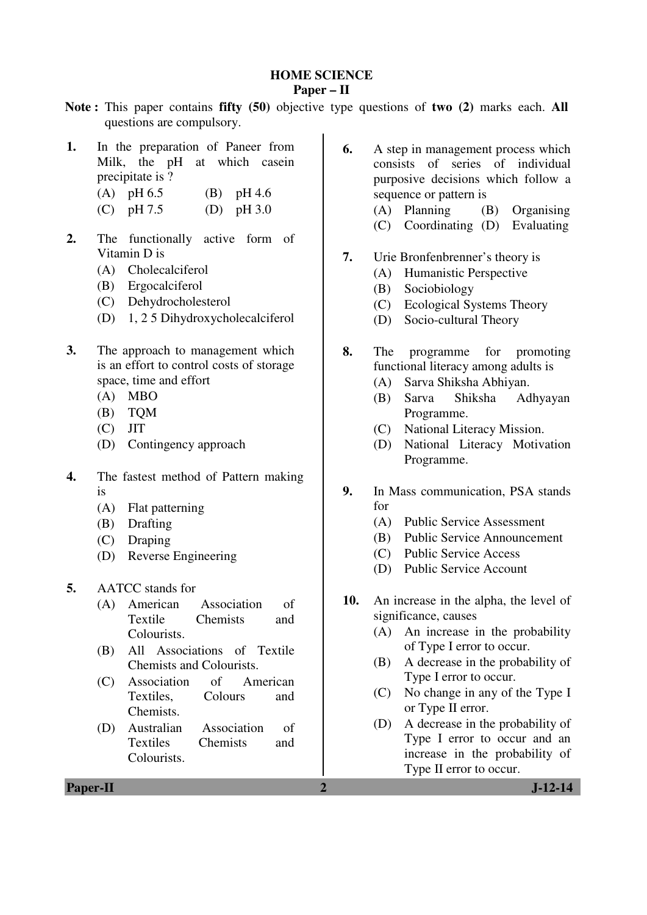#### **HOME SCIENCE**

#### **Paper – II**

- **Note :** This paper contains **fifty (50)** objective type questions of **two (2)** marks each. **All** questions are compulsory.
- **1.** In the preparation of Paneer from Milk, the pH at which casein precipitate is ?
	- (A) pH 6.5 (B) pH 4.6
	- (C)  $pH 7.5$  (D)  $pH 3.0$
- 2. The functionally active form of Vitamin D is
	- (A) Cholecalciferol
	- (B) Ergocalciferol
	- (C) Dehydrocholesterol
	- (D) 1, 2 5 Dihydroxycholecalciferol
- **3.** The approach to management which is an effort to control costs of storage space, time and effort
	- (A) MBO
	- (B) TQM
	- (C) JIT
	- (D) Contingency approach
- **4.** The fastest method of Pattern making is
	- (A) Flat patterning
	- (B) Drafting
	- (C) Draping
	- (D) Reverse Engineering
- **5.** AATCC stands for
	- (A) American Association of Textile Chemists and Colourists.
	- (B) All Associations of Textile Chemists and Colourists.
	- (C) Association of American Textiles, Colours and Chemists.
	- (D) Australian Association of Textiles Chemists and Colourists.
- **6.** A step in management process which consists of series of individual purposive decisions which follow a sequence or pattern is
	- (A) Planning (B) Organising
	- (C) Coordinating (D) Evaluating
- **7.** Urie Bronfenbrenner's theory is
	- (A) Humanistic Perspective
	- (B) Sociobiology
	- (C) Ecological Systems Theory
	- (D) Socio-cultural Theory
- **8.** The programme for promoting functional literacy among adults is
	- (A) Sarva Shiksha Abhiyan.
	- (B) Sarva Shiksha Adhyayan Programme.
	- (C) National Literacy Mission.
	- (D) National Literacy Motivation Programme.
- **9.** In Mass communication, PSA stands for
	- (A) Public Service Assessment
	- (B) Public Service Announcement
	- (C) Public Service Access
	- (D) Public Service Account
- **10.** An increase in the alpha, the level of significance, causes
	- (A) An increase in the probability of Type I error to occur.
	- (B) A decrease in the probability of Type I error to occur.
	- (C) No change in any of the Type I or Type II error.
	- (D) A decrease in the probability of Type I error to occur and an increase in the probability of Type II error to occur.

**Paper-II 2 J-12-14**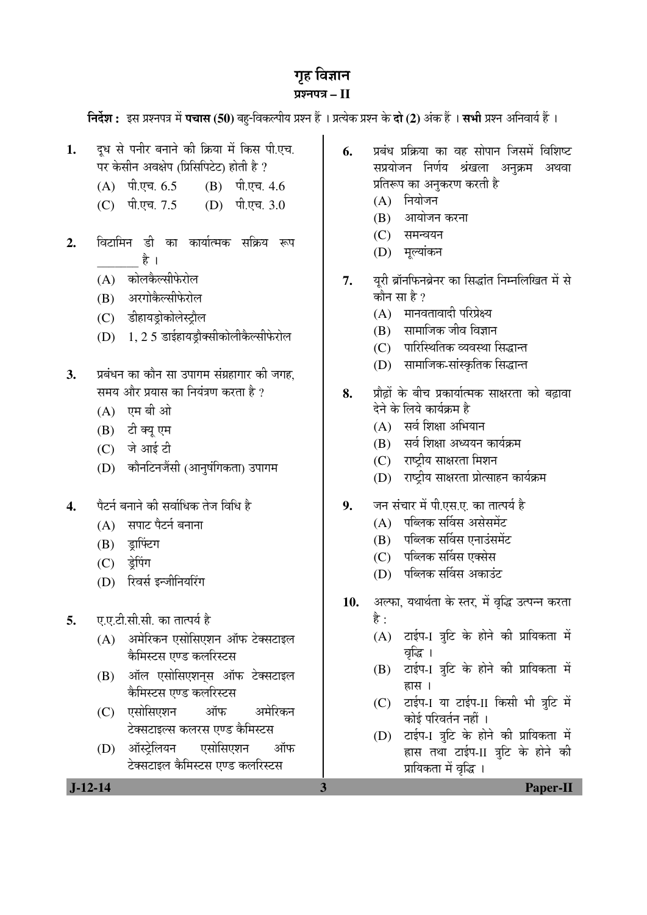# गृह विज्ञान

# ¯ÖÏ¿®Ö¯Ö¡Ö **– II**

**निर्देश :** इस प्रश्नपत्र में **पचास (50)** बह-विकल्पीय प्रश्न हैं । प्रत्येक प्रश्न के **दो (2)** अंक हैं । सभी प्रश्न अनिवार्य हैं ।

- 1. दध से पनीर बनाने की क्रिया में किस पी.एच. पर केसीन अवक्षेप (प्रिसिपिटेट) होती है ?
	- $(A)$  पी.एच.  $6.5$   $(B)$  पी.एच.  $4.6$
	- $(C)$  पी.एच. 7.5  $(D)$  पी.एच. 3.0
- 2. विटामिन डी का कार्यात्मक सक्रिय रूप है $_1$ 
	- (A) कोलकैल्सीफेरोल
	- (B) अरगोकैल्सीफेरोल
	- (C) डीहायड़ोकोलेस्ट्रौल
	- $(D)$  1, 2 5 डाईहायड़ौक्सीकोलीकैल्सीफेरोल
- 3. प्रबंधन का कौन सा उपागम संग्रहागार की जगह. समय और प्रयास का नियंत्रण करता है ?
	- $(A)$  एम बी ओ
	- (B) टी क्यू एम
	- (C) जे आई टी
	- (D) कौनटिनजैंसी (आनुषंगिकता) उपागम
- 4. पेटर्न बनाने की सर्वाधिक तेज विधि है
	- $(A)$  सपाट पैटर्न बनाना
	- $(B)$  इाफ्टिंग
	- (C) डे़पिंग
	- (D) रिवर्स इन्जीनियरिंग
- **5. 4. ए.ए.टी.सी.सी.** का तात्पर्य है
	- $(A)$  अमेरिकन एसोसिएशन ऑफ टेक्सटाइल केमिस्टस एण्ड कलरिस्टस
	- $(B)$  ऑल एसोसिएशनस ऑफ टेक्सटाइल केमिस्टस एण्ड कलरिस्टस
	- (C) एसोसिएशन ऑफ अमेरिकन टेक्सटाइल्स कलरस एण्ड कैमिस्टस
	- (D) ऑस्टेलियन एसोसिएशन ऑफ टेक्सटाइल कैमिस्टस एण्ड कलरिस्टस
- **6.** प्रबंध प्रक्रिया का वह सोपान जिसमें विशिष्ट सप्रयोजन निर्णय श्रंखला अनुक्रम अथवा प्रतिरूप का अनुकरण करती है
	- $(A)$  नियोजन
	- $(B)$  आयोजन करना
	- (C) समन्वयन
	- (D) मुल्यांकन
- 7. युरी ब्रॉनफिनब्रेनर का सिद्धांत निम्नलिखित में से कौन सा $\bm{\mathcal{F}}$ ?
	- (A) मानवतावादी परिप्रेक्ष्य
	- $(B)$  सामाजिक जीव विज्ञान
	- (C) जारिस्थितिक व्यवस्था सिद्धान्त
	- (D) सामाजिक-सांस्कृतिक सिद्धान्त
- 8. Þ प्रौढों के बीच प्रकार्यात्मक साक्षरता को बढावा देने के लिये कार्यक्रम है
	- $(A)$  सर्व शिक्षा अभियान
	- (B) सर्व शिक्षा अध्ययन कार्यक्रम
	- (C) राष्ट्रीय साक्षरता मिशन
	- (D) राष्ट्रीय साक्षरता प्रोत्साहन कार्यक्रम
- **9.** जन संचार में पी.एस.ए. का तात्पर्य है
	- $(A)$  पब्लिक सर्विस असेसमेंट
	- $(B)$  पब्लिक सर्विस एनाउंसमेंट
	- $(C)$  पब्लिक सर्विस एक्सेस
	- $(D)$  पब्लिक सर्विस अकाउंट
- 10. अल्फा, यथार्थता के स्तर, में वृद्धि उत्पन्न करता है $\cdot$ 
	- $(A)$  टाईप-I त्रटि के होने की प्रायिकता में वद्भि ।
	- (B) टाईप-1 त्रुटि के होने की प्रायिकता में  $\overline{\text{a}}$ सिंग
	- (C) टाईप-1 या टाईप-11 किसी भी त्रूटि में कोई परिवर्तन नहीं ।
	- (D) टाईप-1 त्रूटि के होने की प्रायिकता में हास तथा टाईप-II त्रूटि के होने की प्रायिकता में वृद्धि ।

 **J-12-14 3 Paper-II**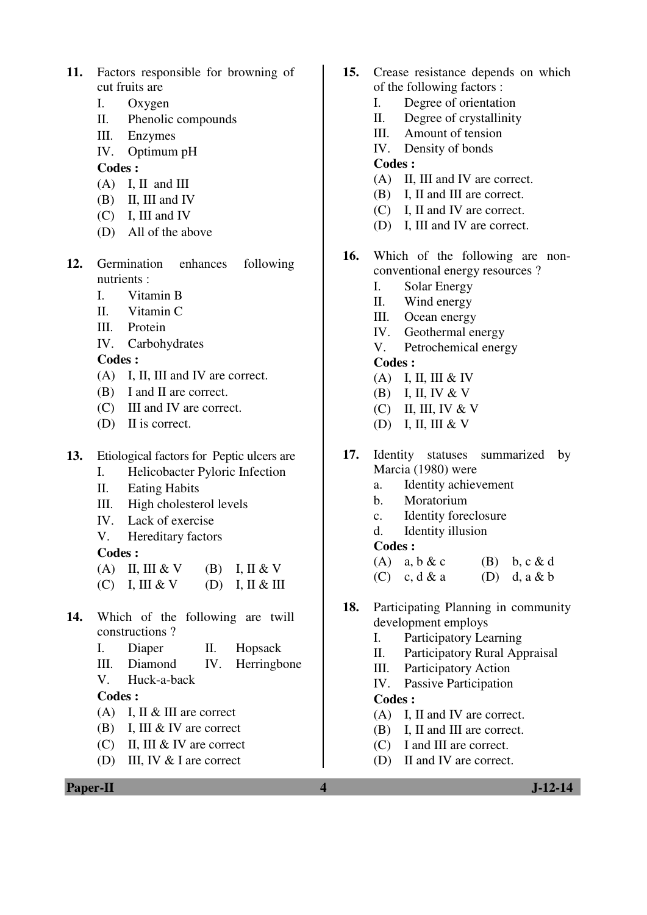- **11.** Factors responsible for browning of cut fruits are
	- I. Oxygen
	- II. Phenolic compounds
	- III. Enzymes
	- IV. Optimum pH

#### **Codes :**

- $(A)$  I, II and III
- (B) II, III and IV
- (C) I, III and IV
- (D) All of the above
- **12.** Germination enhances following nutrients :
	- I. Vitamin B
	- II. Vitamin C
	- III. Protein
	- IV. Carbohydrates

**Codes :** 

- (A) I, II, III and IV are correct.
- (B) I and II are correct.
- (C) III and IV are correct.
- (D) II is correct.
- **13.** Etiological factors for Peptic ulcers are
	- I. Helicobacter Pyloric Infection
	- II. Eating Habits
	- III. High cholesterol levels
	- IV. Lack of exercise
	- V. Hereditary factors

**Codes :** 

- (A) II, III & V (B) I, II & V  $(C)$  I, III & V (D) I, II & III
- 
- **14.** Which of the following are twill constructions ?
	- I. Diaper II. Hopsack
	- III. Diamond IV. Herringbone
	- V. Huck-a-back

## **Codes :**

- (A) I, II & III are correct
- (B) I, III & IV are correct
- (C) II, III & IV are correct
- (D) III, IV & I are correct
- **15.** Crease resistance depends on which of the following factors :
	- I. Degree of orientation
	- II. Degree of crystallinity
	- III. Amount of tension
	- IV. Density of bonds

#### **Codes :**

- (A) II, III and IV are correct.
- (B) I, II and III are correct.
- (C) I, II and IV are correct.
- (D) I, III and IV are correct.
- **16.** Which of the following are nonconventional energy resources ?
	- I. Solar Energy
	- II. Wind energy
	- III. Ocean energy
	- IV. Geothermal energy
	- V. Petrochemical energy
	- **Codes :**
	- $(A)$  I, II, III & IV
	- $(B)$  I, II, IV & V
	- $(C)$  II, III, IV & V
	- $(D)$  I, II, III & V
- **17.** Identity statuses summarized by Marcia (1980) were
	- a. Identity achievement
	- b. Moratorium
	- c. Identity foreclosure
	- d. Identity illusion

#### **Codes :**

- (A) a,  $b \& c$  (B) b,  $c \& d$
- $(C)$  c, d & a  $(D)$  d, a & b
- **18.** Participating Planning in community development employs
	- I. Participatory Learning
	- II. Participatory Rural Appraisal
	- III. Participatory Action
	- IV. Passive Participation

#### **Codes :**

- (A) I, II and IV are correct.
- (B) I, II and III are correct.
- (C) I and III are correct.
- (D) II and IV are correct.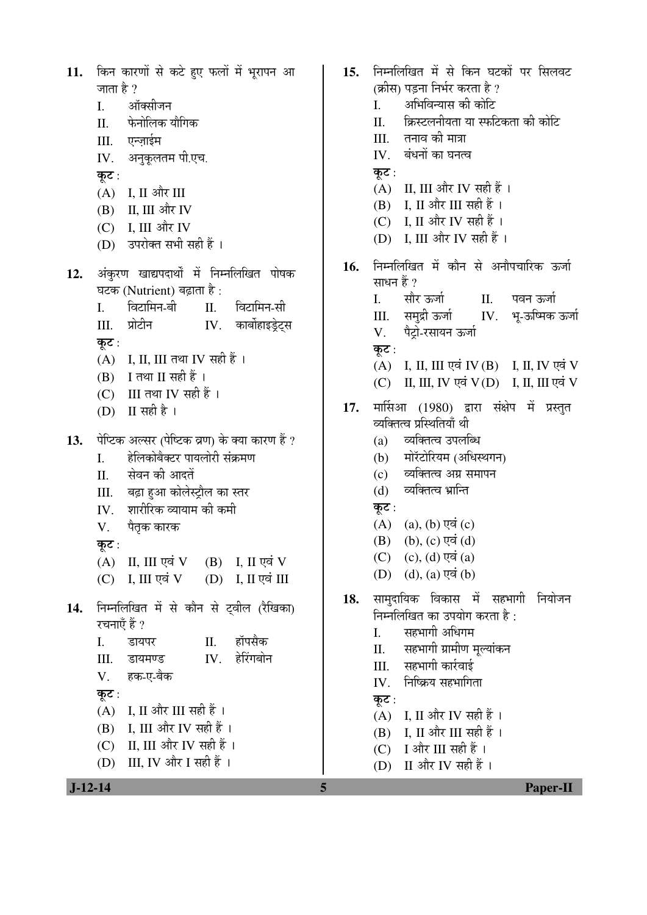| 11.       | किन कारणों से कटे हुए फलों में भूरापन आ                                | 15. | निम्नलिखित में से किन घटकों पर सिलवट         |
|-----------|------------------------------------------------------------------------|-----|----------------------------------------------|
|           | जाता है ?                                                              |     | (क्रीस) पड़ना निर्भर करता है ?               |
|           | ऑक्सीजन<br>I.                                                          |     | अभिविन्यास की कोटि<br>I.                     |
|           | फेनोलिक यौगिक<br>Π.                                                    |     | क्रिस्टलनीयता या स्फटिकता की कोटि<br>Π.      |
|           | एन्ज़ाईम<br>III.                                                       |     | तनाव की मात्रा<br>Ш.                         |
|           | IV. अनुकूलतम पी.एच.                                                    |     | बंधनों का घनत्व<br>IV.                       |
|           | कूट :                                                                  |     | कूट :                                        |
|           | $(A)$ I, II और III                                                     |     | (A) II, III और IV सही हैं।                   |
|           | II, III और IV<br>(B)                                                   |     | $(B)$ I, II और III सही हैं ।                 |
|           | (C) I, III और IV                                                       |     | (C) I, II और IV सही हैं ।                    |
|           | उपरोक्त सभी सही हैं ।<br>(D)                                           |     | (D) I, III और IV सही हैं ।                   |
|           |                                                                        | 16. | निम्नलिखित में कौन से अनौपचारिक ऊर्जा        |
| 12.       | अंकुरण खाद्यपदार्थों में निम्नलिखित पोषक<br>घटक (Nutrient) बढ़ाता है : |     | साधन हैं ?                                   |
|           | विटामिन-बी<br>विटामिन-सी<br>$\mathbf{I}$ .<br>П.                       |     | सौर ऊर्जा<br>पवन ऊर्जा<br>II.<br>I.          |
|           | प्रोटीन<br>IV. कार्बोहाइड्रेट्स                                        |     | IV. भू-ऊष्मिक ऊर्जा<br>समुद्री ऊर्जा<br>III. |
|           | III.                                                                   |     | पैट्रो-रसायन ऊर्जा<br>V.                     |
|           | कूट :<br>$(A)$ I, II, III तथा IV सही हैं ।                             |     | कूट :                                        |
|           | I तथा II सही हैं ।<br>(B)                                              |     | (A) I, II, III एवं IV(B) I, II, IV एवं V     |
|           | III तथा IV सही हैं ।                                                   |     | II, III, IV एवं V(D) I, II, III एवं V<br>(C) |
|           | (C)<br>(D) II सही है ।                                                 | 17. | मार्सिआ (1980) द्वारा संक्षेप में प्रस्तुत   |
|           |                                                                        |     | व्यक्तित्व प्रस्थितियाँ थी                   |
| 13.       | पेप्टिक अल्सर (पेष्टिक व्रण) के क्या कारण हैं ?                        |     | व्यक्तित्व उपलब्धि<br>(a)                    |
|           | हेलिकोबैक्टर पायलोरी संक्रमण<br>I.                                     |     | मोरॅटोरियम (अधिस्थगन)<br>(b)                 |
|           | सेवन की आदतें<br>II.                                                   |     | व्यक्तित्व अग्र समापन<br>(c)                 |
|           | बढ़ा हुआ कोलेस्ट्रौल का स्तर<br>III.                                   |     | व्यक्तित्व भ्रान्ति<br>(d)                   |
|           | शारीरिक व्यायाम की कमी<br>IV.                                          |     | कूट :                                        |
|           | पैतृक कारक<br>V.                                                       |     | (A) (a), (b) एवं (c)                         |
|           | कूट :                                                                  |     | (B) (b), (c) एवं (d)                         |
|           | $(B)$ I, II एवं V<br>II, III एवं V<br>(A)                              |     | $(C)$ $(c)$ , $(d)$ एवं $(a)$                |
|           | I, III एवं $V$ (D) I, II एवं III<br>(C)                                |     | $(D)$ $(d)$ , $(a)$ एवं $(b)$                |
|           |                                                                        | 18. | सामुदायिक विकास में सहभागी<br>नियोजन         |
| 14.       | निम्नलिखित में से कौन से ट्वील (रैखिका)<br>रचनाएँ हैं ?                |     | निम्नलिखित का उपयोग करता है:                 |
|           | हॉपसैक<br>П.<br>I.<br>डायपर                                            |     | सहभागी अधिगम<br>I.                           |
|           | हेरिंगबोन<br>IV.<br>III.<br>डायमण्ड                                    |     | सहभागी ग्रामीण मूल्यांकन<br>П.               |
|           | हक-ए-बैक                                                               |     | सहभागी कार्रवाई<br>III.                      |
|           | V.                                                                     |     | निष्क्रिय सहभागिता<br>IV.                    |
|           | कूट :                                                                  |     | कूट :                                        |
|           | I, II और III सही हैं ।<br>(A)                                          |     | (A) I, II और IV सही हैं।                     |
|           | I, III और IV सही हैं ।<br>(B)                                          |     | I, II और III सही हैं ।<br>(B)                |
|           | II, III और IV सही हैं ।<br>(C)                                         |     | (C) I और III सही हैं।                        |
|           | III, IV और I सही हैं ।<br>(D)                                          |     | II और IV सही हैं ।<br>(D)                    |
| $J-12-14$ |                                                                        | 5   | Paper-II                                     |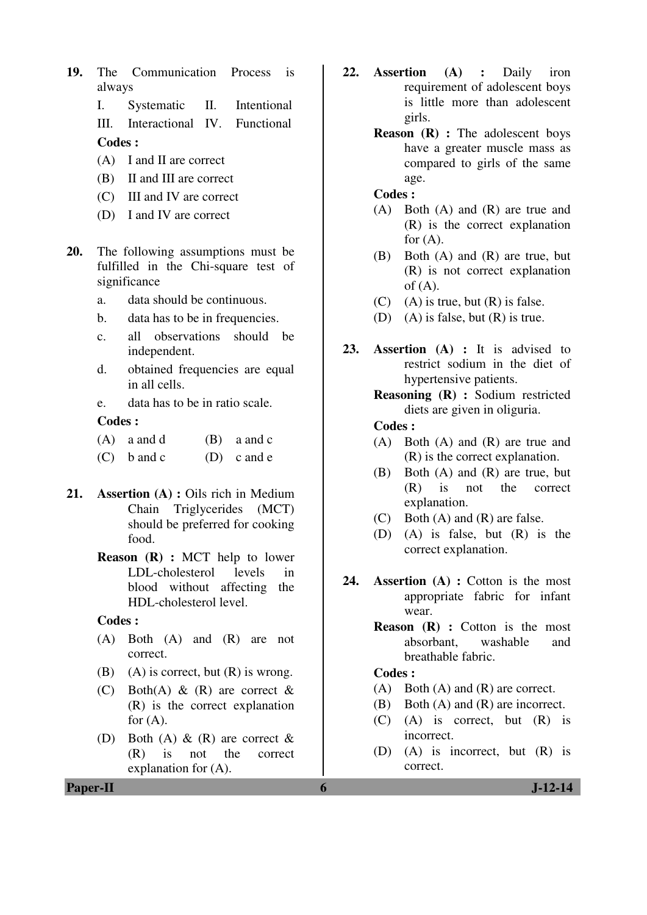**19.** The Communication Process is always

I. Systematic II. Intentional

III. Interactional IV. Functional

**Codes :** 

- (A) I and II are correct
- (B) II and III are correct
- (C) III and IV are correct
- (D) I and IV are correct
- **20.** The following assumptions must be fulfilled in the Chi-square test of significance
	- a. data should be continuous.
	- b. data has to be in frequencies.
	- c. all observations should be independent.
	- d. obtained frequencies are equal in all cells.
	- e. data has to be in ratio scale.

#### **Codes :**

- $(A)$  a and d  $(B)$  a and c
- $(C)$  b and c  $(D)$  c and e
- **21. Assertion (A) :** Oils rich in Medium Chain Triglycerides (MCT) should be preferred for cooking food.
	- **Reason (R) :** MCT help to lower LDL-cholesterol levels in blood without affecting the HDL-cholesterol level.

#### **Codes :**

- (A) Both (A) and (R) are not correct.
- (B) (A) is correct, but  $(R)$  is wrong.
- (C) Both(A)  $\&$  (R) are correct  $\&$ (R) is the correct explanation for  $(A)$ .
- (D) Both (A)  $\&$  (R) are correct  $\&$ (R) is not the correct explanation for (A).
- **22. Assertion (A) :** Daily iron requirement of adolescent boys is little more than adolescent girls.
	- **Reason (R) :** The adolescent boys have a greater muscle mass as compared to girls of the same age.

#### **Codes :**

- (A) Both (A) and (R) are true and (R) is the correct explanation for  $(A)$ .
- (B) Both (A) and (R) are true, but (R) is not correct explanation of  $(A)$ .
- $(C)$  (A) is true, but  $(R)$  is false.
- (D) (A) is false, but  $(R)$  is true.
- **23. Assertion (A) :** It is advised to restrict sodium in the diet of hypertensive patients.
	- **Reasoning (R) :** Sodium restricted diets are given in oliguria.

#### **Codes :**

- (A) Both (A) and (R) are true and (R) is the correct explanation.
- (B) Both (A) and (R) are true, but (R) is not the correct explanation.
- (C) Both (A) and (R) are false.
- (D) (A) is false, but (R) is the correct explanation.
- **24. Assertion (A) :** Cotton is the most appropriate fabric for infant wear.
	- **Reason (R) :** Cotton is the most absorbant, washable and breathable fabric.

## **Codes :**

- (A) Both (A) and (R) are correct.
- (B) Both (A) and (R) are incorrect.
- (C) (A) is correct, but (R) is incorrect.
- (D) (A) is incorrect, but (R) is correct.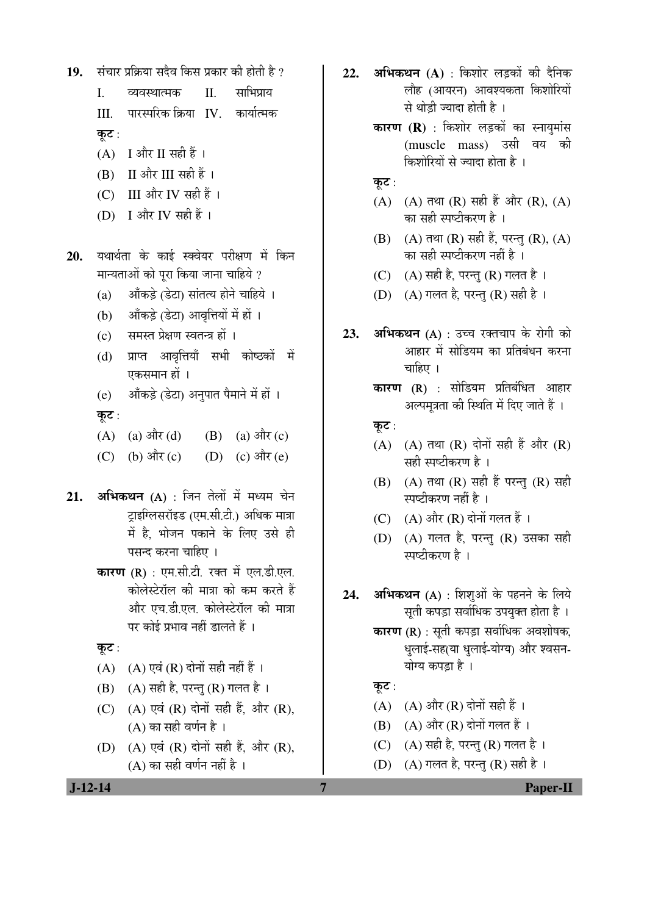संचार प्रक्रिया सदैव किस प्रकार की होती है ? 19.  $\mathbf{I}$  $\Pi$ साभिपाय व्यवस्थात्मक पारस्परिक क्रिया IV. कार्यात्मक Ш. कुट:  $(A)$  I और II सही हैं।  $(B)$  II और III सही हैं। (C) III और IV सही हैं। (D) I और IV सही हैं। यथार्थता के काई स्क्वेयर परीक्षण में किन 20. मान्यताओं को पूरा किया जाना चाहिये ? आँकड़े (डेटा) सांतत्य होने चाहिये ।  $(a)$ आँकड़े (डेटा) आवृत्तियों में हों ।  $(b)$ समस्त प्रेक्षण स्वतन्त्र हों ।  $(c)$ प्राप्त आवृत्तियाँ सभी कोष्ठकों में  $(d)$ एकसमान हों । आँकड़े (डेटा) अनुपात पैमाने में हों ।  $(e)$ कूट:  $(A)$  (a) और (d)  $(B)$  (a) और (c)  $(C)$  (b) और  $(c)$ (D) (c) और (e) अभिकथन (A) : जिन तेलों में मध्यम चेन  $21.$ टाइग्लिसरॉइड (एम.सी.टी.) अधिक मात्रा में है. भोजन पकाने के लिए उसे ही पसन्द करना चाहिए । **कारण (R)**: एम.सी.टी. रक्त में एल.डी.एल. कोलेस्टेरॉल की मात्रा को कम करते हैं और एच.डी.एल. कोलेस्टेरॉल की मात्रा पर कोई प्रभाव नहीं डालते हैं । कुट: (A)  $(A)$  एवं (R) दोनों सही नहीं हैं। (B) (A) सही है, परन्तु (R) गलत है। (C) (A) एवं (R) दोनों सही हैं, और (R),  $(A)$  का सही वर्णन है। (D)  $(A)$  एवं  $(R)$  दोनों सही हैं. और  $(R)$ .  $(A)$  का सही वर्णन नहीं है ।

- अभिकथन (A) : किशोर लड़कों की दैनिक  $22.$ लौह (आयरन) आवश्यकता किशोरियों से थोडी ज्यादा होती है।
	- **कारण (R)** : किशोर लड़कों का स्नायुमांस (muscle mass) उसी वय की किशोरियों से ज्यादा होता है।
	- कूट :
	- (A) (A) तथा (R) सही हैं और (R), (A) का सही स्पष्टीकरण है ।
	- (B) (A) तथा (R) सही हैं, परन्तु (R), (A) का सही स्पष्टीकरण नहीं है ।
	- (C) (A) सही है, परन्तु (R) गलत है।

(D) (A) गलत है. परन्त (R) सही है।

- अभिकथन (A) : उच्च रक्तचाप के रोगी को 23. आहार में सोडियम का प्रतिबंधन करना चाहिए ।
	- **कारण (R)** : सोडियम प्रतिबंधित आहार अल्पमत्रता की स्थिति में दिए जाते हैं ।
	- कुट $:$
	- (A) (A) तथा (R) दोनों सही हैं और (R) सही स्पष्टीकरण है ।
	- (B) (A) तथा (R) सही हैं परन्तु (R) सही स्पष्टीकरण नहीं है ।
	- (C)  $(A)$  और  $(R)$  दोनों गलत हैं।
	- (D) (A) गलत है, परन्तु (R) उसका सही म्पष्टीकरण है ।
- अभिकथन (A) : शिशओं के पहनने के लिये 24. सती कपड़ा सर्वाधिक उपयुक्त होता है ।
	- कारण (R) : सूती कपड़ा सर्वाधिक अवशोषक, धलाई-सह(या धलाई-योग्य) और श्वसन-योग्य कपडा है।
	- कुट:

 $\overline{7}$ 

- (A) (A) और (R) दोनों सही हैं ।
- $(B)$   $(A)$  और  $(R)$  दोनों गलत हैं।
- (C) (A) सही है, परन्तु (R) गलत है।
- (D) (A) गलत है, परन्तु (R) सही है।

 $J-12-14$ 

Paper-II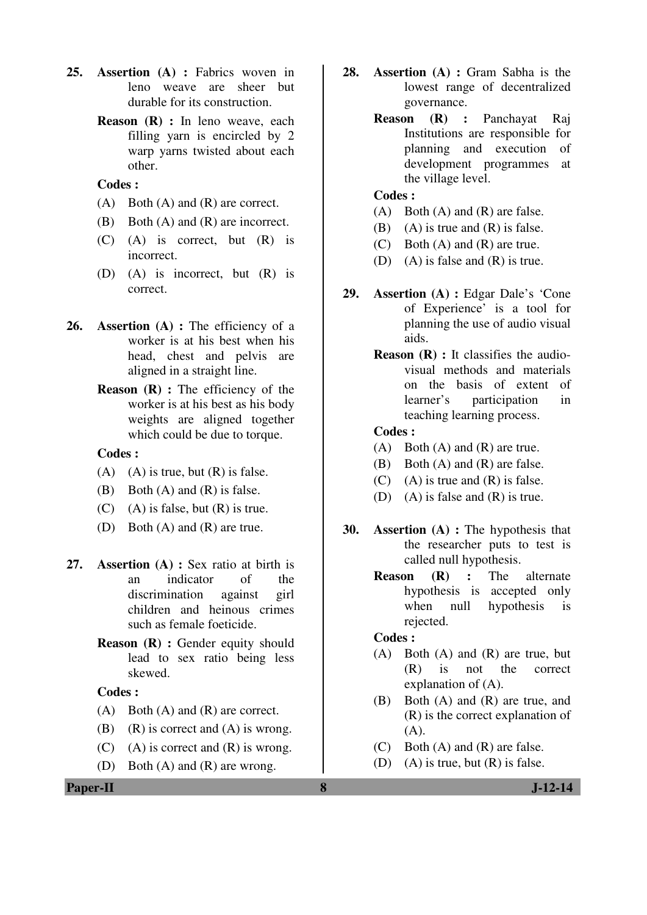- **25. Assertion (A) :** Fabrics woven in leno weave are sheer but durable for its construction.
	- **Reason** (**R**) : In leno weave, each filling yarn is encircled by 2 warp yarns twisted about each other.

#### **Codes :**

- (A) Both (A) and (R) are correct.
- (B) Both (A) and (R) are incorrect.
- (C) (A) is correct, but (R) is incorrect.
- (D) (A) is incorrect, but (R) is correct.
- **26. Assertion (A) :** The efficiency of a worker is at his best when his head, chest and pelvis are aligned in a straight line.
	- **Reason** (**R**) : The efficiency of the worker is at his best as his body weights are aligned together which could be due to torque.

#### **Codes :**

- (A) (A) is true, but  $(R)$  is false.
- (B) Both (A) and (R) is false.
- $(C)$  (A) is false, but  $(R)$  is true.
- (D) Both (A) and (R) are true.
- **27. Assertion (A) :** Sex ratio at birth is an indicator of the discrimination against girl children and heinous crimes such as female foeticide.
	- **Reason (R) : Gender equity should** lead to sex ratio being less skewed.

#### **Codes :**

- (A) Both (A) and (R) are correct.
- (B) (R) is correct and  $(A)$  is wrong.
- (C) (A) is correct and  $(R)$  is wrong.
- (D) Both (A) and (R) are wrong.
- **28. Assertion (A) :** Gram Sabha is the lowest range of decentralized governance.
	- **Reason (R) :** Panchayat Raj Institutions are responsible for planning and execution of development programmes at the village level.

#### **Codes :**

- (A) Both (A) and (R) are false.
- (B) (A) is true and  $(R)$  is false.
- (C) Both (A) and (R) are true.
- (D) (A) is false and (R) is true.
- **29. Assertion (A) :** Edgar Dale's 'Cone of Experience' is a tool for planning the use of audio visual aids.
	- **Reason (R) :** It classifies the audiovisual methods and materials on the basis of extent of learner's participation in teaching learning process.

#### **Codes :**

- (A) Both (A) and (R) are true.
- (B) Both (A) and (R) are false.
- $(C)$  (A) is true and  $(R)$  is false.
- (D) (A) is false and (R) is true.
- **30. Assertion (A) :** The hypothesis that the researcher puts to test is called null hypothesis.
	- **Reason (R) :** The alternate hypothesis is accepted only when null hypothesis is rejected.

#### **Codes :**

- (A) Both (A) and (R) are true, but (R) is not the correct explanation of (A).
- (B) Both (A) and (R) are true, and (R) is the correct explanation of (A).
- (C) Both (A) and (R) are false.
- (D) (A) is true, but  $(R)$  is false.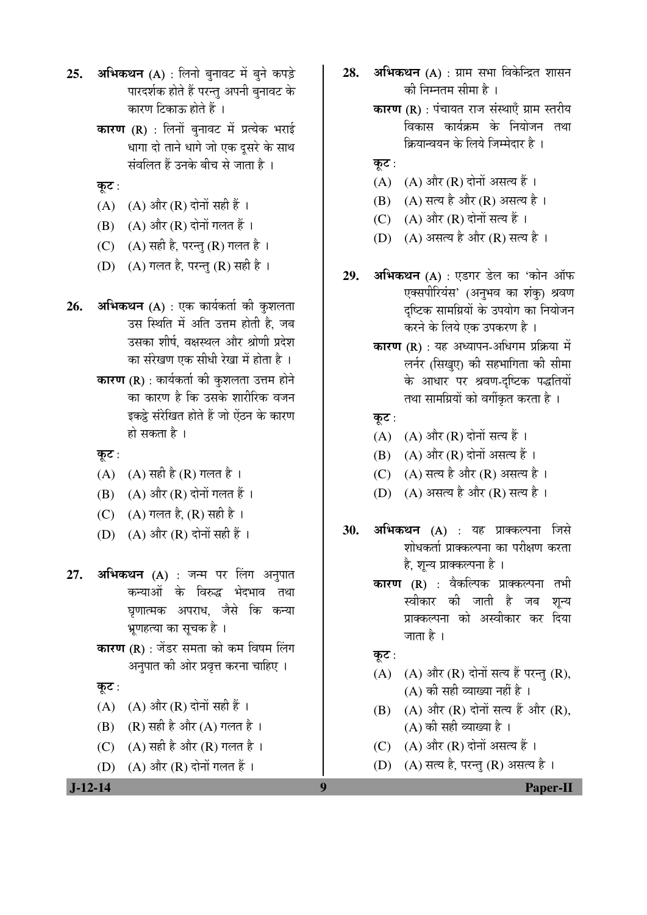- **25. अभिकथन** (A) : लिनो बुनावट में बुने कपड़े पारदर्शक होते हैं परन्तु अपनी बनावट के कारण टिकाऊ होते हैं ।
	- **कारण (R)** : लिनों बुनावट में प्रत्येक भराई धागा दो ताने धागे जो एक दुसरे के साथ संवलित हैं उनके बीच से जाता है ।
	- कूट:
	- $(A)$   $(A)$  और  $(R)$  दोनों सही हैं ।
	- $(B)$   $(A)$  और  $(R)$  दोनों गलत हैं ।
	- (C)  $(A)$  सही है, परन्तु (R) गलत है।
	- (D) (A) गलत है, परन्तु (R) सही है ।
- 26. **अभिकथन** (A) : एक कार्यकर्ता की कुशलता उस स्थिति में अति उत्तम होती है. जब उसका शीर्ष, वक्षस्थल और श्रोणी प्रदेश का संरेखण एक सीधी रेखा में होता है ।
	- $\overline{\text{a}}$ ा $\overline{\text{b}}$  (R) : कार्यकर्ता की कुशलता उत्तम होने का कारण है कि उसके शारीरिक वजन इकट्ठे संरेखित होते हैं जो ऐंठन के कारण हो सकता है ।
	- कूट :
	- $(A)$   $(A)$  सही है  $(R)$  गलत है ।
	- $(B)$   $(A)$  और  $(R)$  दोनों गलत हैं ।
	- (C)  $(A)$  गलत है,  $(R)$  सही है।
	- (D)  $(A)$  और  $(R)$  दोनों सही हैं ।
- **27. अभिकथन (A)** : जन्म पर लिंग अनुपात कन्याओं के विरुद्ध भेदभाव तथा घृणात्मक अपराध, जैसे कि कन्या भूणहत्या का सूचक है ।
	- **कारण (R)** : जेंडर समता को कम विषम लिंग अनुपात की ओर प्रवृत्त करना चाहिए ।

#### कूट:

- $(A)$   $(A)$  और  $(R)$  दोनों सही हैं।
- $(B)$   $(R)$  सही है और  $(A)$  गलत है ।
- (C)  $(A)$  सही है और (R) गलत है।
- $(D)$   $(A)$  और  $(R)$  दोनों गलत हैं।
- 28. **अभिकथन** (A) : ग्राम सभा विकेन्द्रित शासन की निम्नतम सीमा है ।
	- कारण (R) : पंचायत राज संस्थाएँ ग्राम स्तरीय विकास कार्यक्रम के नियोजन तथा क्रियान्वयन के लिये जिम्मेदार है ।
	- कुट $:$
	- $(A)$   $(A)$  और  $(R)$  दोनों असत्य हैं ।
	- (B) (A) सत्य है और (R) असत्य है।
	- $(C)$   $(A)$  और  $(R)$  दोनों सत्य हैं ।
	- (D) (A) असत्य है और (R) सत्य है ।
- 29. **अभिकथन** (A) : एडगर डेल का 'कोन ऑफ एक्सपीरियंस' (अनुभव का शंकु) श्रवण दृष्टिक सामग्रियों के उपयोग का नियोजन करने के लिये एक उपकरण है ।
	- कारण (R) : यह अध्यापन-अधिगम प्रक्रिया में लर्नर (सिखए) की सहभागिता की सीमा के आधार पर श्रवण-दृष्टिक पद्धतियों तथा सामग्रियों को वर्गीकृत करता है ।

#### कूट:

- (A)  $(A)$  और (R) दोनों सत्य हैं।
- $(B)$   $(A)$  और  $(R)$  दोनों असत्य हैं ।
- $(C)$   $(A)$  सत्य है और  $(R)$  असत्य है ।
- (D) (A) असत्य है और (R) सत्य है।
- **30. अभिकथन (A)** : यह प्राक्कल्पना जिसे शोधकर्ता प्राक्कल्पना का परीक्षण करता है, शून्य प्राक्कल्पना है ।
	- **कारण (R)** : वैकल्पिक प्राक्कल्पना तभी स्वीकार की जाती है जब शृन्य प्राक्कल्पना को अस्वीकार कर दिया जाता है $\perp$

कूट $:$ 

- $(A)$   $(A)$  और  $(R)$  दोनों सत्य हैं परन्तु  $(R)$ ,  $(A)$  की सही व्याख्या नहीं है ।
- $(B)$   $(A)$  और  $(R)$  दोनों सत्य हैं और  $(R)$ , (A) की सही व्याख्या है ।
- (C)  $(A)$  और  $(R)$  दोनों असत्य हैं।
- (D)  $(A)$  सत्य है, परन्तु (R) असत्य है।

 **J-12-14 9 Paper-II**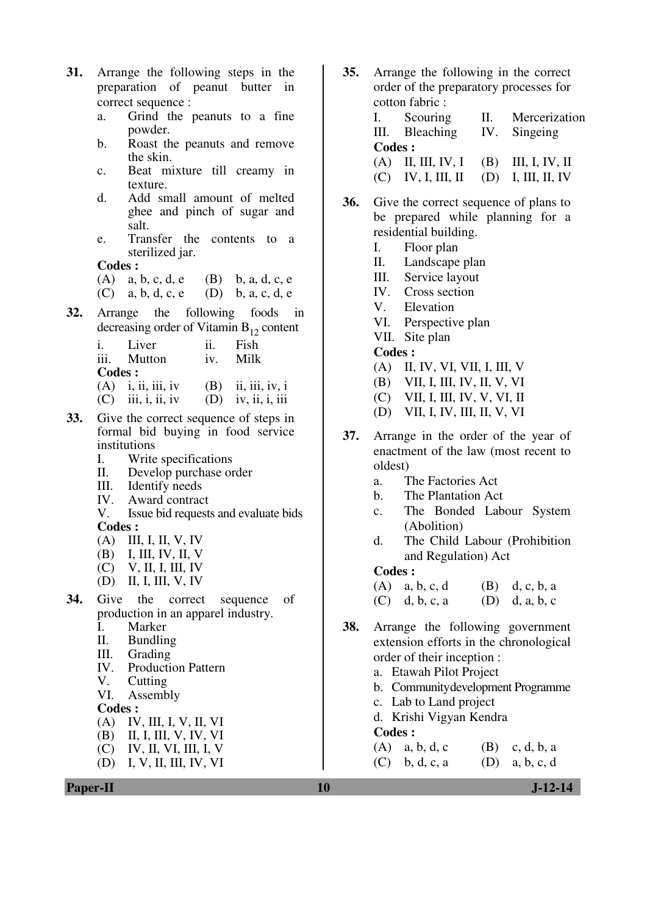- **31.** Arrange the following steps in the preparation of peanut butter in correct sequence :
	- a. Grind the peanuts to a fine powder.
	- b. Roast the peanuts and remove the skin.
	- c. Beat mixture till creamy in texture.
	- d. Add small amount of melted ghee and pinch of sugar and salt.
	- e. Transfer the contents to a sterilized jar.

**Codes :** 

- (A) a, b, c, d, e (B) b, a, d, c, e
- (C) a, b, d, c, e (D) b, a, c, d, e
- **32.** Arrange the following foods in decreasing order of Vitamin  $B_{12}$  content

| $\mathbf{i}$ . | Liver                                                                                    | $\overline{11}$ . | Fish                 |
|----------------|------------------------------------------------------------------------------------------|-------------------|----------------------|
|                | iii. Mutton                                                                              | iv.               | Milk                 |
| Codes :        |                                                                                          |                   |                      |
|                | $(A)$ i, ii, iii, iv                                                                     |                   | $(B)$ ii, iii, iv, i |
| (C)            | $\overline{\text{iii}}, \overline{\text{i}}, \overline{\text{ii}}, \overline{\text{iv}}$ |                   | $(D)$ iv, ii, i, iii |

- **33.** Give the correct sequence of steps in formal bid buying in food service institutions<br>
I. Write
	- I. Write specifications<br>II. Develop purchase of
	- Develop purchase order
	- III. Identify needs<br>IV. Award contract
	-
	- IV. Award contract<br>V. Issue bid requests Issue bid requests and evaluate bids **Codes :**
	-
	- (A) III, I, II, V, IV<br>(B) I, III, IV, II, V (B) I, III, IV, II, V
	- (C) V, II, I, III, IV
	- (D) II, I, III, V, IV
- **34.** Give the correct sequence of production in an apparel industry.
	- I. Marker<br>II. Bundlin
	- II. Bundling<br>III. Grading
	- Grading
	- IV. Production Pattern
	- V. Cutting<br>VI. Assemb
	- Assembly

#### **Codes :**

- (A) IV, III, I, V, II, VI
- (B) II, I, III, V, IV, VI
- (C) IV, II, VI, III, I, V
- (D) I, V, II, III, IV, VI



- **35.** Arrange the following in the correct order of the preparatory processes for cotton fabric :
	- I. Scouring II. Mercerization III. Bleaching IV. Singeing **Codes :**  (A) II, III, IV, I (B) III, I, IV, II (C) IV, I, III, II (D) I, III, II, IV
- **36.** Give the correct sequence of plans to be prepared while planning for a residential building.
	- I. Floor plan
	- II. Landscape plan
	- III. Service layout
	- IV. Cross section
	- V. Elevation
	- VI. Perspective plan
	- VII. Site plan
	- **Codes :**
	- (A) II, IV, VI, VII, I, III, V
	- (B) VII, I, III, IV, II, V, VI
	- (C) VII, I, III, IV, V, VI, II
	- (D) VII, I, IV, III, II, V, VI
- **37.** Arrange in the order of the year of enactment of the law (most recent to oldest)
	- a. The Factories Act
	- b. The Plantation Act
	- c. The Bonded Labour System (Abolition)
	- d. The Child Labour (Prohibition and Regulation) Act

**Codes :** 

(A)  $a, b, c, d$  (B) d, c, b, a (C) d, b, c, a (D) d, a, b, c

- **38.** Arrange the following government extension efforts in the chronological order of their inception :
	- a. Etawah Pilot Project
	- b. Communitydevelopment Programme
	- c. Lab to Land project
	- d. Krishi Vigyan Kendra

#### **Codes :**

(A) a, b, d, c (B) c, d, b, a (C) b, d, c, a (D) a, b, c, d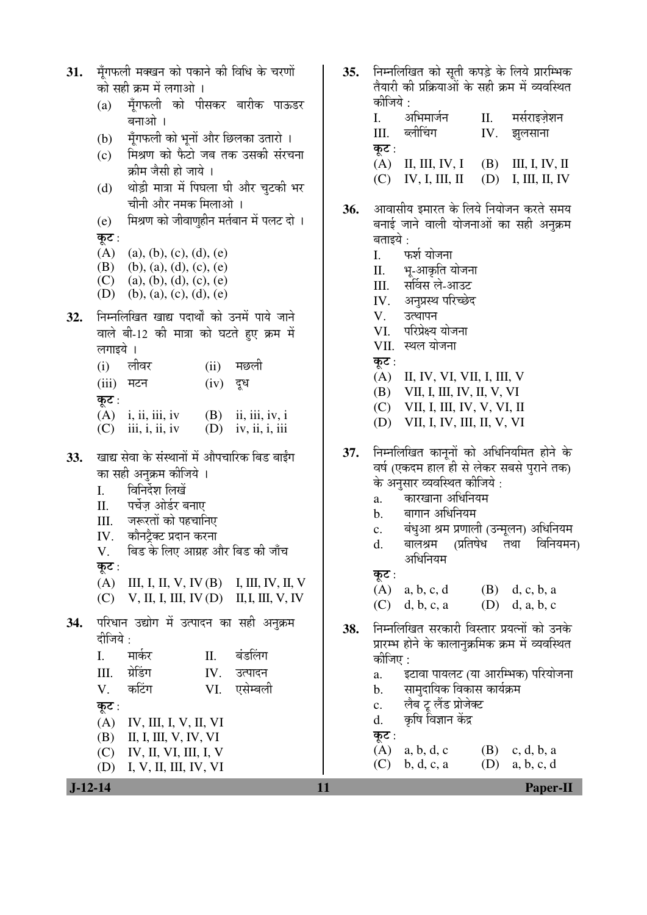| मूँगफली मक्खन को पकाने की विधि के चरणों<br>31.<br>को सही क्रम में लगाओ ।<br>मूँगफली को पीसकर बारीक पाऊडर<br>(a)<br>बनाओ।<br>मूँगफली को भूनों और छिलका उतारो ।<br>(b)<br>मिश्रण को फैटो जब तक उसकी संरचना<br>(c)<br>क्रीम जैसी हो जाये ।<br>थोड़ी मात्रा में पिघला घी और चुटकी भर<br>(d)<br>चीनी और नमक मिलाओ ।<br>मिश्रण को जीवाणुहीन मर्तबान में पलट दो ।<br>(e)<br>कूट :<br>(A)<br>(a), (b), (c), (d), (e)<br>(B)<br>$(b)$ , (a), (d), (c), (e)<br>(C)<br>(a), (b), (d), (c), (e)<br>(D)<br>$(b)$ , (a), (c), (d), (e)<br>निम्नलिखित खाद्य पदार्थों को उनमें पाये जाने<br>32.<br>वाले बी-12 की मात्रा को घटते हुए क्रम में<br>लगाइये ।<br>लीवर<br>मछली<br>(i)<br>(ii)<br>(iii)<br>मटन<br>(iv)<br>दूध<br>कूट :<br>$(A)$ i, ii, iii, iv<br>$(B)$ ii, iii, iv, i                       | 35.<br>36. | निम्नलिखित को सूती कपड़े के लिये प्रारम्भिक<br>तैयारी की प्रक्रियाओं के सही क्रम में व्यवस्थित<br>कीजिये :<br>मर्सराइज़ेशन<br>अभिमार्जन<br>I.<br>П.<br>ब्लीचिंग<br>IV.<br>III.<br>झुलसाना<br>कूट :<br>II, III, IV, I<br>(A)<br>(B)<br>III, I, IV, II<br>IV, I, III, II<br>(D)<br>I, III, II, IV<br>(C)<br>आवासीय इमारत के लिये नियोजन करते समय<br>बनाई जाने वाली योजनाओं का सही अनुक्रम<br>बताइये :<br>फर्श योजना<br>I.<br>भू-आकृति योजना<br>П.<br>III. सर्विस ले-आउट<br>IV. अनुप्रस्थ परिच्छेद<br>V.<br>उत्थापन<br>परिप्रेक्ष्य योजना<br>VI.<br>स्थल योजना<br>VII.<br>कूट :<br>(A)<br>II, IV, VI, VII, I, III, V<br>VII, I, III, IV, II, V, VI<br>(B)<br>VII, I, III, IV, V, VI, II<br>(C)                                                                                     |
|---------------------------------------------------------------------------------------------------------------------------------------------------------------------------------------------------------------------------------------------------------------------------------------------------------------------------------------------------------------------------------------------------------------------------------------------------------------------------------------------------------------------------------------------------------------------------------------------------------------------------------------------------------------------------------------------------------------------------------------------------------------------------------------|------------|---------------------------------------------------------------------------------------------------------------------------------------------------------------------------------------------------------------------------------------------------------------------------------------------------------------------------------------------------------------------------------------------------------------------------------------------------------------------------------------------------------------------------------------------------------------------------------------------------------------------------------------------------------------------------------------------------------------------------------------------------------------------------------|
| (C)<br>(D)<br>$\overline{111}, \overline{1}, \overline{11}, \overline{11}$<br>iv, ii, i, iii<br>खाद्य सेवा के संस्थानों में औपचारिक बिड बाईंग<br>33.<br>का सही अनुक्रम कीजिये ।<br>विनिर्देश लिखें<br>I.<br>पर्चेज़ ओर्डर बनाए<br>II.<br>जरूरतों को पहचानिए<br>III.<br>कौनटैक्ट प्रदान करना<br>IV.<br>बिड के लिए आग्रह और बिड की जाँच<br>V.<br>कूट :<br>III, I, II, V, IV (B) I, III, IV, II, V<br>(A)<br>$V, II, I, III, IV (D)$ II, I, III, V, IV<br>(C)<br>परिधान उद्योग में उत्पादन का सही अनुक्रम<br>34.<br>दीजिये :<br>बंडलिंग<br>मार्कर<br>$\mathbf{I}$ .<br>П.<br>ग्रेडिंग<br>Ш.<br>IV.<br>उत्पादन<br>कटिंग<br>एसेम्बली<br>V.<br>VI.<br>कूट :<br>(A)<br>IV, III, I, V, II, VI<br>(B)<br>II, I, III, V, IV, VI<br>(C)<br>IV, II, VI, III, I, V<br>(D)<br>I, V, II, III, IV, VI | 37.<br>38. | VII, I, IV, III, II, V, VI<br>(D)<br>निम्नलिखित कानूनों को अधिनियमित होने के<br>वर्ष (एकदम हाल ही से लेकर सबसे पुराने तक)<br>के अनुसार व्यवस्थित कीजिये :<br>कारखाना अधिनियम<br>a.<br>बागान अधिनियम<br>$\mathbf{b}$ .<br>बंधुआ श्रम प्रणाली (उन्मूलन) अधिनियम<br>c.<br>विनियमन)<br>(प्रतिषेध<br>d.<br>बालश्रम<br>तथा<br>अधिनियम<br>कूट :<br>(A)<br>$(B)$ d, c, b, a<br>a, b, c, d<br>(C)<br>d, b, c, a<br>$(D)$ d, a, b, c<br>निम्नलिखित सरकारी विस्तार प्रयत्नों को उनके<br>प्रारम्भ होने के कालानुक्रमिक क्रम में व्यवस्थित<br>कीजिए :<br>इटावा पायलट (या आरम्भिक) परियोजना<br>a.<br>सामुदायिक विकास कार्यक्रम<br>b.<br>लैब टू लैंड प्रोजेक्ट<br>c.<br>कृषि विज्ञान केंद्र<br>d.<br>कूट :<br>(A)<br>a, b, d, c<br>(B)<br>c, d, b, a<br>(C)<br>(D)<br>b, d, c, a<br>a, b, c, d |
| $J-12-14$                                                                                                                                                                                                                                                                                                                                                                                                                                                                                                                                                                                                                                                                                                                                                                             | 11         | <b>Paper-II</b>                                                                                                                                                                                                                                                                                                                                                                                                                                                                                                                                                                                                                                                                                                                                                                 |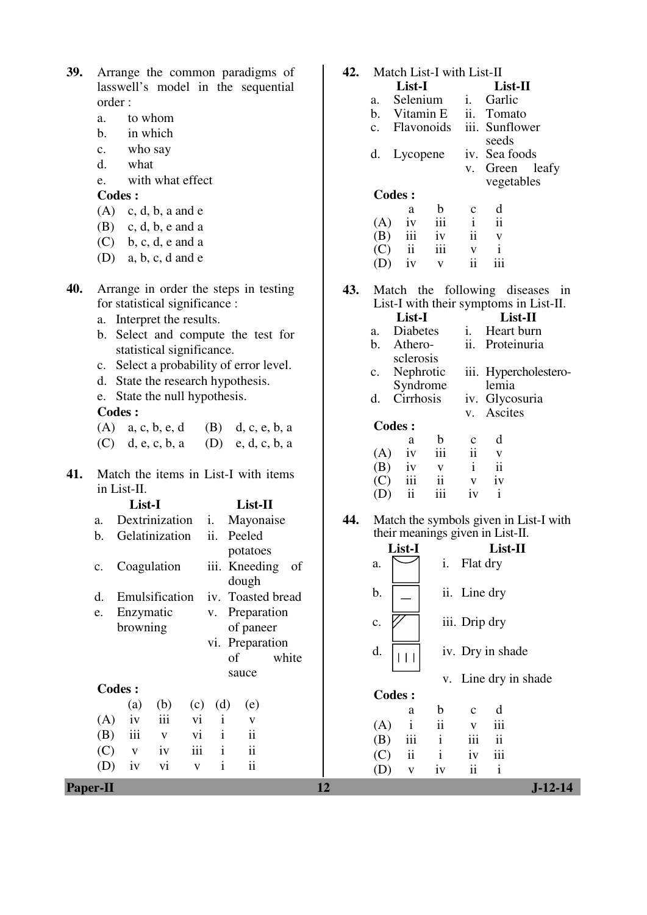| 39.        | Arrange the common paradigms of<br>lasswell's model in the sequential<br>order:<br>to whom<br>a.<br>in which<br>$\mathbf{b}$ .<br>who say<br>$\mathbf{c}$ .<br>$\mathbf{d}$ .<br>what<br>with what effect<br>e.<br><b>Codes:</b><br>(A)<br>$c, d, b, a$ and $e$<br>(B)<br>$c, d, b, e$ and a<br>$b, c, d, e$ and a<br>(C)                                                                                                                                                                                                                                                                                                                          | 42.       | Match List-I with List-II<br>List-I<br>List-II<br>Selenium<br>i.<br>Garlic<br>a.<br>Vitamin E<br>ii.<br>Tomato<br>b.<br>iii. Sunflower<br>Flavonoids<br>c.<br>seeds<br>iv. Sea foods<br>d.<br>Lycopene<br>Green<br>leafy<br>V.<br>vegetables<br><b>Codes:</b><br>d<br>$\mathbf b$<br>$\mathbf C$<br>a<br>$\mathbf{ii}$<br>iii<br>$\mathbf{i}$<br>(A)<br>iv<br>ii<br>iii<br>(B)<br>iv<br>$\mathbf V$<br>iii<br>$\mathbf{i}$<br>$\mathbf{ii}$<br>(C)<br>$\mathbf{V}$                                                                                                                                                         |
|------------|----------------------------------------------------------------------------------------------------------------------------------------------------------------------------------------------------------------------------------------------------------------------------------------------------------------------------------------------------------------------------------------------------------------------------------------------------------------------------------------------------------------------------------------------------------------------------------------------------------------------------------------------------|-----------|----------------------------------------------------------------------------------------------------------------------------------------------------------------------------------------------------------------------------------------------------------------------------------------------------------------------------------------------------------------------------------------------------------------------------------------------------------------------------------------------------------------------------------------------------------------------------------------------------------------------------|
| 40.<br>41. | $a, b, c, d$ and $e$<br>(D)<br>Arrange in order the steps in testing<br>for statistical significance :<br>a. Interpret the results.<br>b. Select and compute the test for<br>statistical significance.<br>c. Select a probability of error level.<br>State the research hypothesis.<br>d.<br>e. State the null hypothesis.<br><b>Codes:</b><br>$(A)$ a, c, b, e, d<br>(B) d, c, e, b, a<br>d, e, c, b, a<br>(D) e, d, c, b, a<br>(C)<br>Match the items in List-I with items<br>in List-II.                                                                                                                                                        | 43.       | iii<br>$\mathbf{ii}$<br>(D)<br>iv<br>$\mathbf{V}$<br>Match the following diseases in<br>List-I with their symptoms in List-II.<br>List-I<br>List-II<br>i.<br>Heart burn<br>Diabetes<br>a.<br>ii. Proteinuria<br>Athero-<br>$\mathbf{b}$ .<br>sclerosis<br>Nephrotic<br>iii. Hypercholestero-<br>$C_{\bullet}$<br>Syndrome<br>lemia<br>Cirrhosis<br>iv. Glycosuria<br>d.<br>Ascites<br>V.<br>Codes:<br>d<br>$\mathbf b$<br>$\mathbf C$<br>a<br>iii<br>ii<br>(A)<br>iv<br>V<br>$\ddot{\rm ii}$<br>(B)<br>$\mathbf{i}$<br>iv<br>$\mathbf{V}$<br>iii<br>$\overline{\mathbf{u}}$<br>iv<br>(C)<br>V                              |
|            | List-II<br>List-I<br>Dextrinization<br>Mayonaise<br>i.<br>a.<br>Gelatinization<br>ii.<br>Peeled<br>b.<br>potatoes<br>Coagulation<br>iii. Kneeding<br>of<br>c.<br>dough<br>iv. Toasted bread<br>Emulsification<br>d.<br>Enzymatic<br>Preparation<br>e.<br>V.<br>browning<br>of paneer<br>vi. Preparation<br>of<br>white<br>sauce<br><b>Codes:</b><br>(d)<br>(a)<br>(b)<br>(c)<br>(e)<br>iii<br>vi<br>$\mathbf{i}$<br>(A)<br>iv<br>V<br>$\mathbf{i}$<br>$\rm ii$<br>iii<br>vi<br>(B)<br>$\mathbf{V}$<br>iii<br>(C)<br>$\mathbf{ii}$<br>iv<br>$\mathbf{i}$<br>$\mathbf{V}$<br>ii<br>$\mathbf{i}$<br>(D)<br>vi<br>iv<br>$\mathbf V$<br><b>Paper-II</b> | 44.<br>12 | ii<br>iii<br>$\mathbf{i}$<br>(D)<br>iv<br>Match the symbols given in List-I with<br>their meanings given in List-II.<br>List-I<br>$List-II$<br>Flat dry<br>i.<br>a.<br>b.<br>ii. Line dry<br>iii. Drip dry<br>$\mathbf{C}$ .<br>d.<br>iv. Dry in shade<br>$\Box$<br>Line dry in shade<br>V.<br><b>Codes:</b><br>$\mathbf b$<br>d<br>$\mathbf{C}$<br>a<br>$\ddot{\mathbf{i}}$<br>iii<br>$\mathbf{i}$<br>(A)<br>$\mathbf V$<br>$\mathbf{ii}$<br>(B)<br>iii<br>$\mathbf{i}$<br>iii<br>$\rm ii$<br>$\rm iii$<br>$\mathbf{i}$<br>iv<br>(C)<br>$\overline{\textbf{ii}}$<br>(D)<br>$\mathbf{i}$<br>iv<br>$\mathbf V$<br>$J-12-14$ |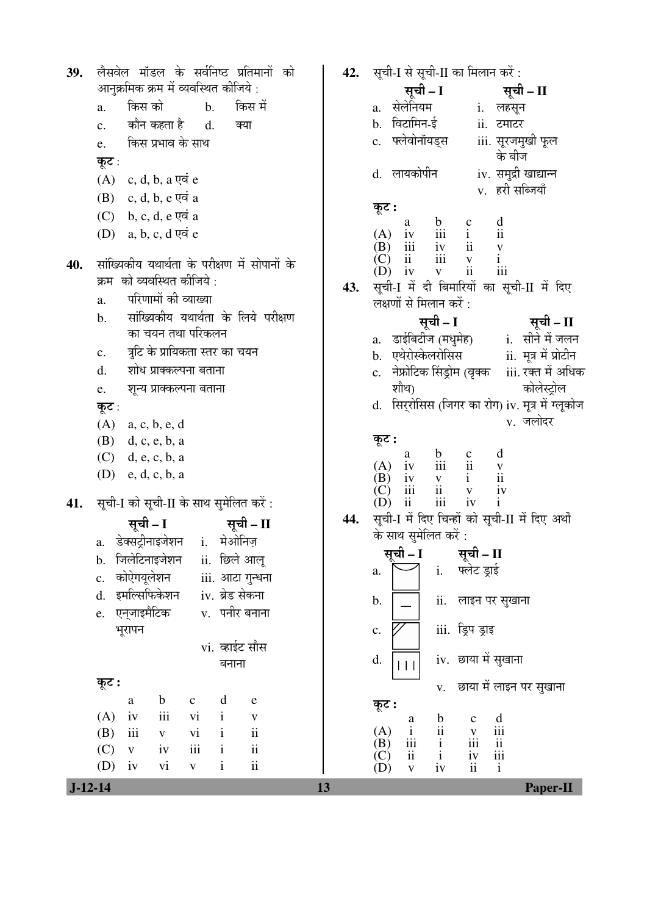| 39.              | लैसवेल मॉडल के सर्वनिष्ठ प्रतिमानों को<br>आनुक्रमिक क्रम में व्यवस्थित कीजिये :<br>किस को<br>किस में<br>$\mathbf{b}$ .<br>a.<br>कौन कहता है       d.<br>$\mathbf{c}$ .<br>क्या<br>किस प्रभाव के साथ<br>e.<br>कूट :<br>$(A)$ c, d, b, a एवं e<br>$(B)$ c, d, b, e एवं a<br>$(C)$ b, c, d, e एवं a<br>$(D)$ a, b, c, d एवं e                                                                                                                                                                                                                                                                                                                                                                      |           | 42. सूची-I से सूची-II का मिलान करें :<br>सूची – I सूची – II<br>a. सेलेनियम<br>i. लहसून<br>b. विटामिन-ई<br>ii. टमाटर<br>c. फ्लेवोनॉयड्स iii. सूरजमुखी फूल<br>के बीज<br>d. लायकोपीन<br>iv. समुद्री खाद्यान्न<br>v. हरी सब्जियाँ<br>कूट :<br>(A)                                                                                                                                                                                                                                                                                                                                                                                                                                                                                                                                        |
|------------------|-------------------------------------------------------------------------------------------------------------------------------------------------------------------------------------------------------------------------------------------------------------------------------------------------------------------------------------------------------------------------------------------------------------------------------------------------------------------------------------------------------------------------------------------------------------------------------------------------------------------------------------------------------------------------------------------------|-----------|--------------------------------------------------------------------------------------------------------------------------------------------------------------------------------------------------------------------------------------------------------------------------------------------------------------------------------------------------------------------------------------------------------------------------------------------------------------------------------------------------------------------------------------------------------------------------------------------------------------------------------------------------------------------------------------------------------------------------------------------------------------------------------------|
| 40.              | सांख्यिकीय यथार्थता के परीक्षण में सोपानों के<br>क्रम) को व्यवस्थित कीजिये :<br>परिणामों की व्याख्या<br>a.<br>सांख्यिकीय यथार्थता के लिये परीक्षण<br>$\mathbf{b}$ .<br>का चयन तथा परिकलन<br>त्रूटि के प्रायिकता स्तर का चयन<br>$\mathbf{c}$ .<br>शोध प्राक्कल्पना बताना<br>d.<br>शून्य प्राक्कल्पना बताना<br>e.<br>कूट :<br>$(A)$ a, c, b, e, d<br>$(B)$ d, c, e, b, a<br>$(C)$ d, e, c, b, a                                                                                                                                                                                                                                                                                                   | 43.       | $\begin{tabular}{lllllllllllll} a & b & c & d \\ iv & iii & i & ii \\ iii & iv & ii & v \\ ii & iii & v & i \\ iv & v & ii & iii \\ \end{tabular}$<br>(B)<br>(C)<br>iv<br>(D)<br>सूची-I में दी बिमारियों का सूची-II में दिए<br>लक्षणों से मिलान करें :<br>सूची – I<br>सूची – II<br>a. डाईबिटीज (मधुमेह) a. सीने में जलन<br>b. एथेरोस्केलरोसिस        ii. मूत्र में प्रोटीन<br>c. नेफ्रोटिक सिंड्रोम (वृक्क iii. रक्त में अधिक<br>शौथ)<br>कोलेस्ट्रोल<br>d. सिर्रोसिस (जिगर का रोग) iv. मूत्र में ग्लूकोज<br>v. जलोदर<br>कूट :<br>(A)                                                                                                                                                                                                                                                 |
| 41.<br>$J-12-14$ | $(D)$ e, d, c, b, a<br>सूची-I को सूची-II के साथ सुमेलित करें :<br>सूची – I<br>सूची – II<br>a. डेक्सट्रीनाइजेशन i. मेओनिज़<br>जिलेटिनाइजेशन<br>ii. छिले आलू<br>b.<br>कोऐगयूलेशन<br>iii. आटा गुन्धना<br>$\mathbf{c}$ .<br>इमल्सिफिकेशन<br>iv. ब्रेड सेकना<br>d.<br>एन्जाइमैटिक<br>v. पनीर बनाना<br>e.<br>भूरापन<br>vi. व्हाईट सौस<br>बनाना<br>कूट :<br>$\mathbf b$<br>d<br>$\mathbf{C}$<br>${\bf e}$<br>a<br>$\rm iii$<br>(A)<br>iv<br>vi<br>$\mathbf{i}$<br>$\mathbf V$<br>$\rm ii$<br>iii<br>(B)<br>$\overline{vi}$<br>$\mathbf{i}$<br>$\mathbf{V}$<br>$\ddot{\rm{11}}$<br>iii<br>(C)<br>$\mathbf{i}$<br>iv<br>$\mathbf{V}$<br>$\mathbf{ii}$<br>(D)<br>vi<br>$\mathbf{i}$<br>iv<br>$\mathbf{V}$ | 44.<br>13 | $\begin{tabular}{lllllllllll} a & b & c & d \\ iv & iii & ii & v \\ iv & v & i & ii \\ iii & ii & v & iv \\ ii & iii & iv & i \end{tabular}$<br>(B)<br>(C)<br>$\frac{iv}{i}$<br>ii<br>(D)<br>सूची-I में दिए चिन्हों को सूची-II में दिए अर्थों<br>के साथ सुमेलित करें :<br>सूची – I<br>सूची - II<br>i.<br>फ्लेट ड्राई<br>a.<br>ii.<br>लाइन पर सुखाना<br>b.<br>iii. ड्रिप ड्राइ<br>$\mathbf{c}.$<br>iv. छाया में सुखाना<br>d.<br>$\Box$<br>छाया में लाइन पर सुखाना<br>V.<br>कूट :<br>$\frac{b}{i}$<br>$\frac{d}{d}$<br>$\mathbf c$<br>a<br>(A)<br>$\mathbf{i}$<br>$\mathbf V$<br>iii<br>(B)<br>iii<br>$\overline{\mathbf{u}}$<br>$\mathbf{i}$<br>(C)<br>$\overline{\mathbf{u}}$<br>iii<br>$\mathbf{i}$<br>iv<br>$\mathbf{ii}$<br>(D)<br>$\mathbf{i}$<br>iv<br>$\mathbf{V}$<br>Paper-II |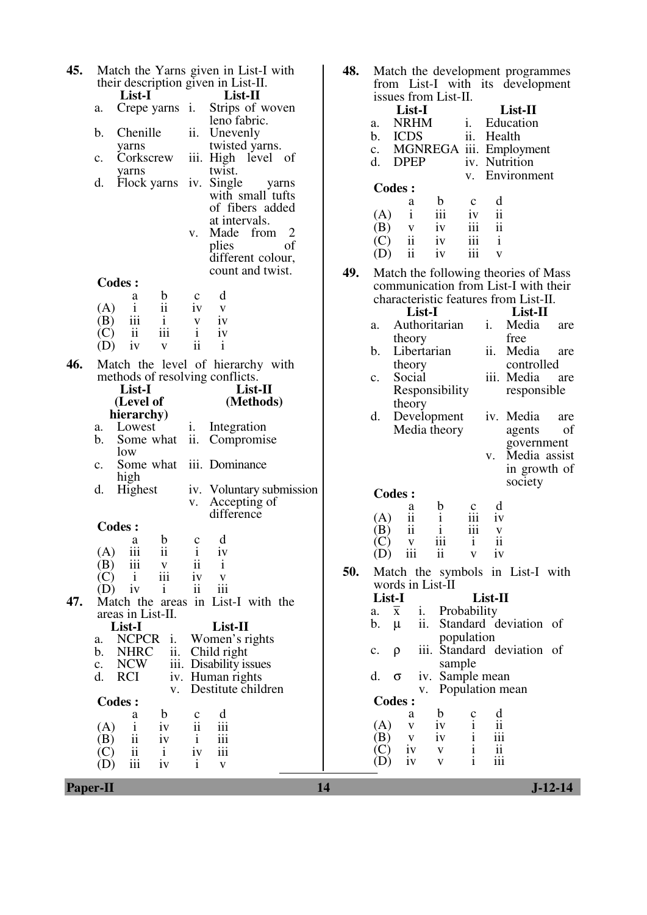| 45. | their description given in List-II.                                 | Match the Yarns given in List-I with     | 48. | M<br>frc                  |
|-----|---------------------------------------------------------------------|------------------------------------------|-----|---------------------------|
|     | List-I                                                              | List-II                                  |     | iss                       |
|     | a.                                                                  | Crepe yarns i. Strips of woven           |     |                           |
|     |                                                                     | leno fabric.                             |     | a.                        |
|     | Chenille<br>b.                                                      | ii.<br>Unevenly                          |     | b.                        |
|     | yarns                                                               | twisted yarns.                           |     | c.                        |
|     | Corkscrew<br>c.                                                     | iii. High level of                       |     | d.                        |
|     | yarns                                                               | twist.                                   |     |                           |
|     | d.<br>Flock yarns                                                   | iv. Single<br>yarns                      |     | $\rm C\alpha$             |
|     |                                                                     | with small tufts                         |     |                           |
|     |                                                                     | of fibers added                          |     | (A                        |
|     |                                                                     | at intervals.                            |     | (B                        |
|     |                                                                     | Made from<br>2<br>V.                     |     | $\overline{C}$            |
|     |                                                                     | of<br>plies                              |     | (D                        |
|     |                                                                     | different colour,                        |     |                           |
|     |                                                                     | count and twist.                         | 49. | M                         |
|     | <b>Codes:</b>                                                       |                                          |     | CO.                       |
|     | b<br>a<br>(A)<br>$\mathbf{i}$                                       | d<br>$\mathbf{c}$<br>iv                  |     | ch.                       |
|     | $\overline{11}$<br>iii<br>(B)                                       | V                                        |     |                           |
|     | 1<br>$\mathbf{ii}$<br>iii<br>(C)                                    | 1V<br>$\mathbf{V}$<br>$\mathbf{i}$<br>iv |     | a.                        |
|     | iv<br>(D)<br>$\mathbf{V}$                                           | $\mathbf{ii}$<br>i                       |     |                           |
|     |                                                                     |                                          |     | b.                        |
| 46. |                                                                     | Match the level of hierarchy with        |     |                           |
|     | methods of resolving conflicts.                                     |                                          |     | c.                        |
|     | List-I<br>(Level of                                                 | List-II<br>(Methods)                     |     |                           |
|     | hierarchy)                                                          |                                          |     |                           |
|     | a. Lowest                                                           | Integration<br>i.                        |     | d.                        |
|     |                                                                     |                                          |     |                           |
|     |                                                                     |                                          |     |                           |
|     | b.<br>Some what                                                     | ii.<br>Compromise                        |     |                           |
|     | low<br>$\mathbf{c}$ .                                               |                                          |     |                           |
|     | Some what                                                           | iii. Dominance                           |     |                           |
|     | high<br>d.<br>Highest                                               | iv. Voluntary submission                 |     |                           |
|     |                                                                     | Accepting of<br>V.                       |     | Cс                        |
|     |                                                                     | difference                               |     |                           |
|     | Codes :                                                             |                                          |     | (A<br>Έ                   |
|     | b<br>a                                                              | d<br>$\mathbf C$                         |     | $\overline{\text{C}}$     |
|     | $(A)$ iii<br>ii                                                     | $i$ iv                                   |     | $\overline{(\mathrm{D})}$ |
|     | iii<br>(B)<br>$\mathbf V$                                           | 11<br>1                                  |     |                           |
|     | iii<br>(C)<br>$\mathbf{i}$                                          | iv<br>V                                  | 50. | M                         |
|     | i<br>(D)<br>iv                                                      | $\mathbf{ii}$<br>iii                     |     | WC                        |
| 47. |                                                                     | Match the areas in List-I with the       |     | <b>Lis</b>                |
|     | areas in List-II.                                                   |                                          |     | a.<br>b.                  |
|     | List-I                                                              | List-II                                  |     |                           |
|     | <b>NCPCR</b><br>a.<br>1.<br>$\mathbf b$ .                           | Women's rights                           |     | c.                        |
|     | ii.<br><b>NHRC</b><br><b>NCW</b><br>$\mathbf{c}$ .                  | Child right                              |     |                           |
|     | <b>RCI</b><br>d.<br>iv.                                             | iii. Disability issues<br>Human rights   |     | d.                        |
|     | V.                                                                  | Destitute children                       |     |                           |
|     | <b>Codes:</b>                                                       |                                          |     | $\rm C\alpha$             |
|     | $\mathbf b$<br>a                                                    | d<br>$\mathbf C$                         |     |                           |
|     | (A)<br>$\mathbf{i}$<br>iv                                           | ii<br>$\overline{111}$                   |     | (A                        |
|     | ii<br>(B)<br>iv                                                     | iii<br>$\mathbf{i}$                      |     | (B                        |
|     | $\overline{\mathbf{ii}}$<br>(C)<br>$\mathbf{i}$<br>iii<br>(D)<br>iv | iii<br>iv<br>$\mathbf{i}$<br>$\mathbf V$ |     | C<br>(D                   |

| 48. |                                        | Match the development programmes                                             |     |
|-----|----------------------------------------|------------------------------------------------------------------------------|-----|
|     | from List-I with                       | its development                                                              |     |
|     | issues from List-II.                   |                                                                              |     |
|     | List-I                                 | List-II                                                                      |     |
|     | <b>NRHM</b><br>a.<br><b>ICDS</b><br>b. | Education<br>i.<br>ii.<br>Health                                             |     |
|     | MGNREGA<br>c.                          | iii.<br>Employment                                                           |     |
|     | d.<br><b>DPEP</b>                      | Nutrition<br>iv.                                                             |     |
|     |                                        | Environment<br>v.                                                            |     |
|     | <b>Codes:</b>                          |                                                                              |     |
|     | $\mathbf b$<br>a                       | d<br>c                                                                       |     |
|     | iii<br>$\mathbf{i}$<br>(A)             | ii<br>iv                                                                     |     |
|     | (B)<br>iv<br>V                         | ii<br>iii                                                                    |     |
|     | $\ddot{\text{11}}$<br>(C)<br>iv        | iii<br>$\mathbf{i}$                                                          |     |
|     | ii<br>(D)<br>iv                        | iii<br>$\overline{\mathbf{V}}$                                               |     |
| 49. |                                        | Match the following theories of Mass<br>communication from List-I with their |     |
|     |                                        | characteristic features from List-II.                                        |     |
|     | List-I                                 | List-II                                                                      |     |
|     | Authoritarian<br>a.                    | Media<br>i.                                                                  | are |
|     | theory                                 | free                                                                         |     |
|     | Libertarian<br>b.                      | ii.<br>Media                                                                 | are |
|     | theory                                 | controlled                                                                   |     |
|     | Social<br>c.                           | iii. Media                                                                   | are |
|     | Responsibility                         | responsible                                                                  |     |
|     | theory                                 |                                                                              |     |
|     | d.<br>Development                      | iv. Media                                                                    | are |
|     | Media theory                           | agents                                                                       | of  |
|     |                                        | government<br>Media assist<br>V.                                             |     |
|     |                                        | in growth of                                                                 |     |
|     |                                        | society                                                                      |     |
|     | <b>Codes:</b>                          |                                                                              |     |
|     | b<br>a                                 | d<br>с                                                                       |     |
|     | ii<br>$\mathbf{i}$<br>(A)              | iii<br>1V                                                                    |     |
|     | ii<br>B)<br>iii<br>$\mathbf V$         | iii<br>V<br>i<br>ii                                                          |     |
|     | $(D)$ iii                              | ii v iv                                                                      |     |
| 50. |                                        | Match the symbols in List-I with                                             |     |
|     | words in List-II                       |                                                                              |     |
|     | List-I                                 | List-II                                                                      |     |
|     | i.<br>$\overline{\mathbf{x}}$<br>a.    | Probability                                                                  |     |
|     | ii.<br>b.<br>μ                         | Standard deviation of                                                        |     |
|     |                                        | population                                                                   |     |
|     | iii.<br>c.<br>ρ                        | Standard deviation of                                                        |     |
|     | sample<br>d.                           |                                                                              |     |
|     | iv.<br>σ<br>v.                         | Sample mean<br>Population mean                                               |     |
|     | <b>Codes:</b>                          |                                                                              |     |
|     | b<br>a                                 | d<br>c                                                                       |     |
|     | iv<br>(A)<br>V                         | ii<br>i                                                                      |     |
|     | iv<br>(B)<br>V                         | $\mathbf{i}$<br>iii<br>$\mathbf{i}$                                          |     |
|     | iv<br>V<br>iv<br>V                     | ii<br>$\mathbf{i}$<br>iii                                                    |     |
|     |                                        |                                                                              |     |

**Paper-II** J-12-14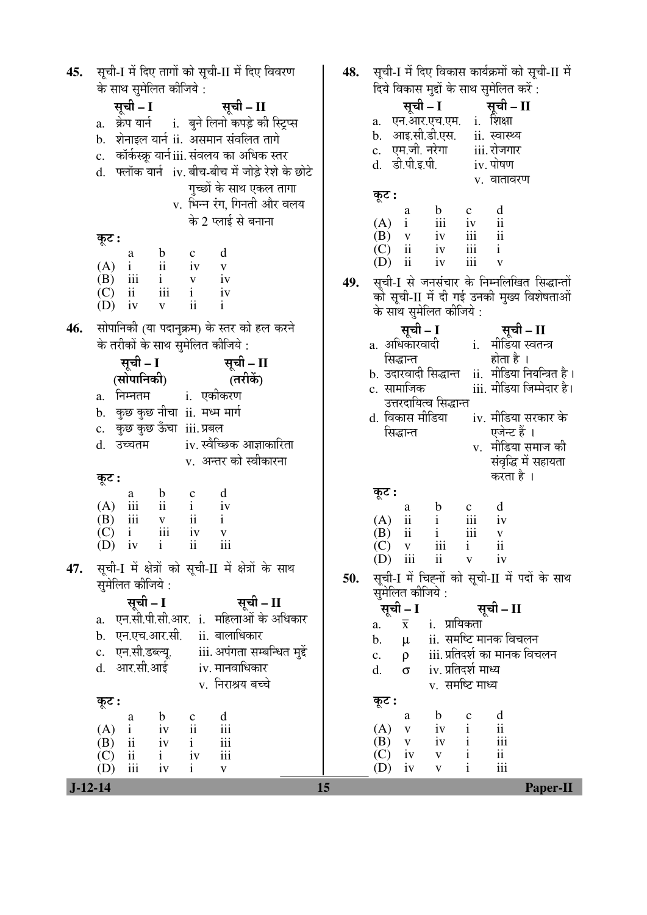| सूची-I में दिए तागों को सूची-II में दिए विवरण<br>45.                                                                                                                                                                                                                                                                                                                                                                                                                                                                                                                                                                                                                                                                                                                                                                                                                             | सूची-I में दिए विकास कार्यक्रमों को सूची-II में<br>48.                                                                                                                                                                                                                                                                                                                                                                                                                                                                                                                                                                                                                                                                                                                                                                                                                                                               |
|----------------------------------------------------------------------------------------------------------------------------------------------------------------------------------------------------------------------------------------------------------------------------------------------------------------------------------------------------------------------------------------------------------------------------------------------------------------------------------------------------------------------------------------------------------------------------------------------------------------------------------------------------------------------------------------------------------------------------------------------------------------------------------------------------------------------------------------------------------------------------------|----------------------------------------------------------------------------------------------------------------------------------------------------------------------------------------------------------------------------------------------------------------------------------------------------------------------------------------------------------------------------------------------------------------------------------------------------------------------------------------------------------------------------------------------------------------------------------------------------------------------------------------------------------------------------------------------------------------------------------------------------------------------------------------------------------------------------------------------------------------------------------------------------------------------|
| के साथ सुमेलित कीजिये :<br>सूची – I<br>सूची – II<br>a. क्रेप यार्न i. बुने लिनो कपड़े की स्ट्रिप्स<br>b. शेनाइल यार्न ii. असमान संवलित तागे<br>c. कॉर्कस्क्रू यार्न iii. संवलय का अधिक स्तर<br>d. फ्लॉक यार्न iv. बीच-बीच में जोड़े रेशे के छोटे<br>गुच्छों के साथ एकल तागा<br>v. भिन्न रंग, गिनती और वलय<br>के 2 प्लाई से बनाना<br>कूट :<br>b c d<br>ii iv v<br>i v iv<br>iii i iv<br>$\begin{array}{ccc}\n\vdots & \vdots & \vdots\n\end{array}$<br>a<br>$(A)$ i<br>$(B)$ iii<br>$\overline{\mathbf{u}}$<br>(C)<br>$\mathbf{i}$<br>$\overline{\mathbf{ii}}$<br>(D)<br>iv<br>$\mathbf{V}$<br>सोपानिकी (या पदानुक्रम) के स्तर को हल करने<br>46.<br>के तरीकों के साथ सुमेलित कीजिये :<br>सूची – I सूची – II<br>(तरीकें)<br>(सोपानिकी)<br>a. निम्नतम   i. एकीकरण<br>b.   कुछ कुछ नीचा  ii.  मध्म मार्ग<br>c. कुछ कुछ ऊँचा iii.प्रबल<br>d. उच्चतम         iv. स्वैच्छिक आज्ञाकारिता | दिये विकास मुद्दों के साथ सुमेलित करें :<br>सूची – I सूची – II<br>a. एन.आर.एच.एम. i. शिक्षा<br>b. आइ.सी.डी.एस. ii. स्वास्थ्य<br>c. एम.जी.नूरेगा iii.रोजगार<br>d. डी.पी.इ.पी.<br>iv. पोषण<br>v. वातावरण<br>कूट :<br>(A) $\begin{matrix} a & b \\ i & i \end{matrix}$<br>$\frac{d}{ii}$<br>$\mathbf{c}$<br>$\begin{tabular}{cc} iv & ii \\ iii & ii \\ iii & i \end{tabular}$<br>$\begin{array}{ccccc} (B) & v & iv \\ (C) & ii & iv \end{array}$<br>iii<br>$\rm ii$<br>iv<br>(D)<br>$\overline{\mathbf{V}}$<br>सूची-I से जनसंचार के निम्नलिखित सिद्धान्तों<br>49.<br>को सूची-II में दी गई उनकी मुख्य विशेषताओं<br>के साथ सुमेलित कीजिये:<br>सूची – I<br>्सूची – II<br>a. अधिकोरवादी        i.   मीडिया स्वतन्त्र<br>होता है ।<br>सिद्धान्त<br>b. उदारवादी सिद्धान्त ii. मीडिया नियन्त्रित है।<br>उत्तरदायित्व सिद्धान्त<br>d. विकास मीडिया      iv. मीडिया सरकार के<br>एजेन्ट हैं ।<br>सिद्धान्त<br>v. मीडिया समाज की |
| v. अन्तर को स्वीकारना<br>कूट :<br>b c d<br>ii i iv<br>v ii i<br>a<br>$(A)$ iii<br>iii<br>(B)<br>$\rm iii$<br>$\mathbf{i}$<br>iv<br>$\mathbf{V}$<br>(C)<br>iii<br>$\overline{\mathbf{ii}}$<br>(D)<br>iv<br>$\mathbf{i}$<br>सूची-I में क्षेत्रों को सूची-II में क्षेत्रों के साथ<br>47.<br>सुमेलित कीजिये :<br>सूची – I<br>सूची – II<br>a. एन.सी.पी.सी.आर. i. महिलाओं के अधिकार<br>b. एन.एच.आर.सी. ii. बालाधिकार<br>c. एन.सी.डब्ल्यू. iii. अपंगता सम्बन्धित मुद्दे<br>d. आर.सी.आई iv. मानवाधिकार<br>v. निराश्रय बच्चे<br>कूट :<br>$\mathbf b$<br>d<br>$\mathbf{C}$<br>a<br>ii<br>iii<br>$\mathbf{i}$<br>(A)<br>iv                                                                                                                                                                                                                                                                  | संवृद्धि में सहायता<br>करता है ।<br>कूट :<br>d<br>$\mathbf b$<br>$\mathbf{c}$<br>a<br>iii<br>$\begin{array}{c} i\\ i \end{array}$<br>iv<br>$(A)$ ii<br>$\rm ii$<br>iii<br>(B)<br>$\mathbf V$<br>$\overline{\mathbf{i}}$<br>iii i<br>(C)<br>$\mathbf{V}$<br>ii v iv<br>$(D)$ iii<br>सूची-I में चिह्नों को सूची-II में पदों के साथ<br>50.<br>सुमेलित कीजिये:<br>सूची – I<br>सूची – II<br>$\overline{x}$ i. प्रायिकता<br>a.<br>ii. समष्टि मानक विचलन<br>b.<br>$\mu$<br>iii. प्रतिदर्श का मानक विचलन<br>$\rho$<br>c.<br>iv. प्रतिदर्श माध्य<br>d.<br>$\sigma$<br>v. समष्टि माध्य<br>कूट :<br>b<br>d<br>$\mathbf{C}$<br>a<br>$\rm ii$<br>$iv$ $i$<br>(A)<br>$\mathbf V$                                                                                                                                                                                                                                                   |
| $\mathbf{i}$<br>iii<br>$\overline{\mathbf{u}}$<br>(B)<br>iv<br>iii<br>$\rm ii$<br>$\mathbf{i}$<br>iv<br>(C)<br>iii<br>$\mathbf{i}$<br>(D)<br>iv<br>$\mathbf V$<br>$J-12-14$                                                                                                                                                                                                                                                                                                                                                                                                                                                                                                                                                                                                                                                                                                      | $iv$ $i$<br>iii<br>$(B)$ v<br>$\mathbf{i}$<br>$\rm ii$<br>$(C)$ iv<br>$\mathbf{V}^-$<br>iii<br>$\mathbf{i}$<br>iv<br>(D)<br>$\mathbf{V}$<br>15<br>Paper-II                                                                                                                                                                                                                                                                                                                                                                                                                                                                                                                                                                                                                                                                                                                                                           |